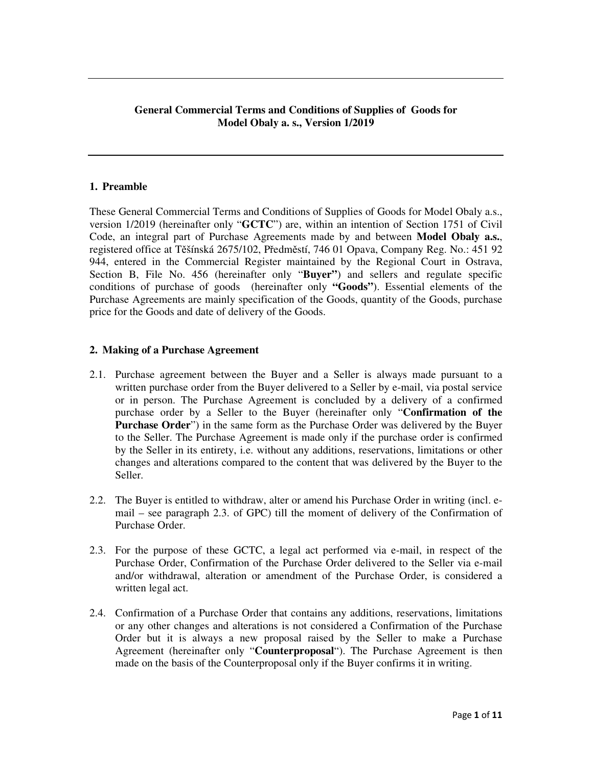# **General Commercial Terms and Conditions of Supplies of Goods for Model Obaly a. s., Version 1/2019**

# **1. Preamble**

These General Commercial Terms and Conditions of Supplies of Goods for Model Obaly a.s., version 1/2019 (hereinafter only "**GCTC**") are, within an intention of Section 1751 of Civil Code, an integral part of Purchase Agreements made by and between **Model Obaly a.s.**, registered office at Těšínská 2675/102, Předměstí, 746 01 Opava, Company Reg. No.: 451 92 944, entered in the Commercial Register maintained by the Regional Court in Ostrava, Section B, File No. 456 (hereinafter only "**Buyer"**) and sellers and regulate specific conditions of purchase of goods (hereinafter only **"Goods"**). Essential elements of the Purchase Agreements are mainly specification of the Goods, quantity of the Goods, purchase price for the Goods and date of delivery of the Goods.

#### **2. Making of a Purchase Agreement**

- 2.1. Purchase agreement between the Buyer and a Seller is always made pursuant to a written purchase order from the Buyer delivered to a Seller by e-mail, via postal service or in person. The Purchase Agreement is concluded by a delivery of a confirmed purchase order by a Seller to the Buyer (hereinafter only "**Confirmation of the Purchase Order**") in the same form as the Purchase Order was delivered by the Buyer to the Seller. The Purchase Agreement is made only if the purchase order is confirmed by the Seller in its entirety, i.e. without any additions, reservations, limitations or other changes and alterations compared to the content that was delivered by the Buyer to the Seller.
- 2.2. The Buyer is entitled to withdraw, alter or amend his Purchase Order in writing (incl. email – see paragraph 2.3. of GPC) till the moment of delivery of the Confirmation of Purchase Order.
- 2.3. For the purpose of these GCTC, a legal act performed via e-mail, in respect of the Purchase Order, Confirmation of the Purchase Order delivered to the Seller via e-mail and/or withdrawal, alteration or amendment of the Purchase Order, is considered a written legal act.
- 2.4. Confirmation of a Purchase Order that contains any additions, reservations, limitations or any other changes and alterations is not considered a Confirmation of the Purchase Order but it is always a new proposal raised by the Seller to make a Purchase Agreement (hereinafter only "**Counterproposal**"). The Purchase Agreement is then made on the basis of the Counterproposal only if the Buyer confirms it in writing.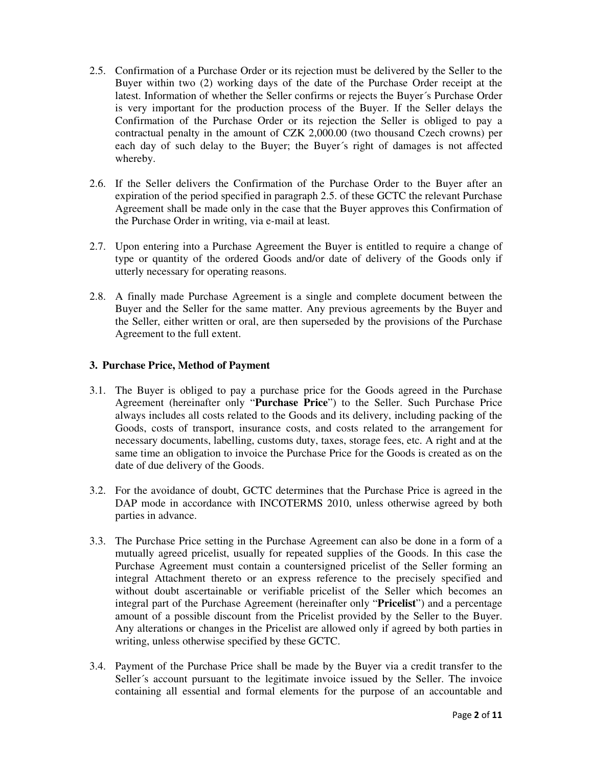- 2.5. Confirmation of a Purchase Order or its rejection must be delivered by the Seller to the Buyer within two (2) working days of the date of the Purchase Order receipt at the latest. Information of whether the Seller confirms or rejects the Buyer´s Purchase Order is very important for the production process of the Buyer. If the Seller delays the Confirmation of the Purchase Order or its rejection the Seller is obliged to pay a contractual penalty in the amount of CZK 2,000.00 (two thousand Czech crowns) per each day of such delay to the Buyer; the Buyer´s right of damages is not affected whereby.
- 2.6. If the Seller delivers the Confirmation of the Purchase Order to the Buyer after an expiration of the period specified in paragraph 2.5. of these GCTC the relevant Purchase Agreement shall be made only in the case that the Buyer approves this Confirmation of the Purchase Order in writing, via e-mail at least.
- 2.7. Upon entering into a Purchase Agreement the Buyer is entitled to require a change of type or quantity of the ordered Goods and/or date of delivery of the Goods only if utterly necessary for operating reasons.
- 2.8. A finally made Purchase Agreement is a single and complete document between the Buyer and the Seller for the same matter. Any previous agreements by the Buyer and the Seller, either written or oral, are then superseded by the provisions of the Purchase Agreement to the full extent.

# **3. Purchase Price, Method of Payment**

- 3.1. The Buyer is obliged to pay a purchase price for the Goods agreed in the Purchase Agreement (hereinafter only "**Purchase Price**") to the Seller. Such Purchase Price always includes all costs related to the Goods and its delivery, including packing of the Goods, costs of transport, insurance costs, and costs related to the arrangement for necessary documents, labelling, customs duty, taxes, storage fees, etc. A right and at the same time an obligation to invoice the Purchase Price for the Goods is created as on the date of due delivery of the Goods.
- 3.2. For the avoidance of doubt, GCTC determines that the Purchase Price is agreed in the DAP mode in accordance with INCOTERMS 2010, unless otherwise agreed by both parties in advance.
- 3.3. The Purchase Price setting in the Purchase Agreement can also be done in a form of a mutually agreed pricelist, usually for repeated supplies of the Goods. In this case the Purchase Agreement must contain a countersigned pricelist of the Seller forming an integral Attachment thereto or an express reference to the precisely specified and without doubt ascertainable or verifiable pricelist of the Seller which becomes an integral part of the Purchase Agreement (hereinafter only "**Pricelist**") and a percentage amount of a possible discount from the Pricelist provided by the Seller to the Buyer. Any alterations or changes in the Pricelist are allowed only if agreed by both parties in writing, unless otherwise specified by these GCTC.
- 3.4. Payment of the Purchase Price shall be made by the Buyer via a credit transfer to the Seller´s account pursuant to the legitimate invoice issued by the Seller. The invoice containing all essential and formal elements for the purpose of an accountable and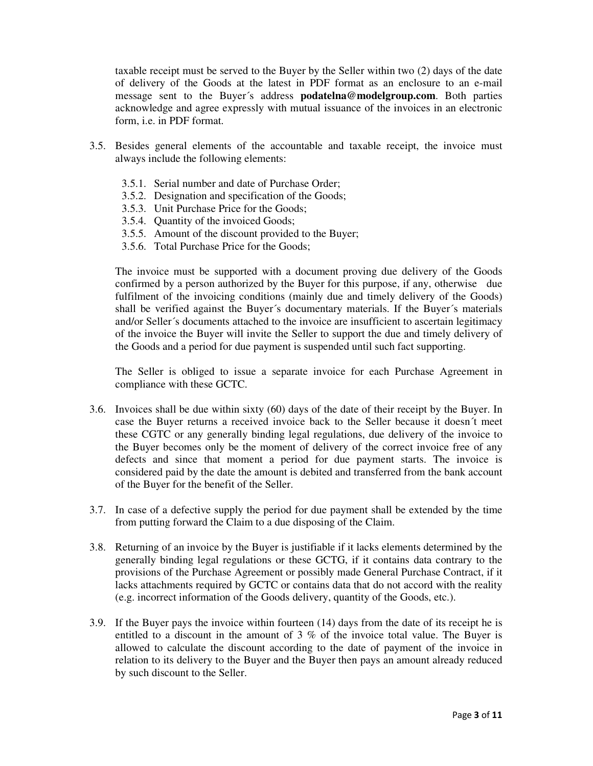taxable receipt must be served to the Buyer by the Seller within two (2) days of the date of delivery of the Goods at the latest in PDF format as an enclosure to an e-mail message sent to the Buyer´s address **podatelna@modelgroup.com**. Both parties acknowledge and agree expressly with mutual issuance of the invoices in an electronic form, i.e. in PDF format.

- 3.5. Besides general elements of the accountable and taxable receipt, the invoice must always include the following elements:
	- 3.5.1. Serial number and date of Purchase Order;
	- 3.5.2. Designation and specification of the Goods;
	- 3.5.3. Unit Purchase Price for the Goods;
	- 3.5.4. Quantity of the invoiced Goods;
	- 3.5.5. Amount of the discount provided to the Buyer;
	- 3.5.6. Total Purchase Price for the Goods;

The invoice must be supported with a document proving due delivery of the Goods confirmed by a person authorized by the Buyer for this purpose, if any, otherwise due fulfilment of the invoicing conditions (mainly due and timely delivery of the Goods) shall be verified against the Buyer´s documentary materials. If the Buyer´s materials and/or Seller´s documents attached to the invoice are insufficient to ascertain legitimacy of the invoice the Buyer will invite the Seller to support the due and timely delivery of the Goods and a period for due payment is suspended until such fact supporting.

The Seller is obliged to issue a separate invoice for each Purchase Agreement in compliance with these GCTC.

- 3.6. Invoices shall be due within sixty (60) days of the date of their receipt by the Buyer. In case the Buyer returns a received invoice back to the Seller because it doesn´t meet these CGTC or any generally binding legal regulations, due delivery of the invoice to the Buyer becomes only be the moment of delivery of the correct invoice free of any defects and since that moment a period for due payment starts. The invoice is considered paid by the date the amount is debited and transferred from the bank account of the Buyer for the benefit of the Seller.
- 3.7. In case of a defective supply the period for due payment shall be extended by the time from putting forward the Claim to a due disposing of the Claim.
- 3.8. Returning of an invoice by the Buyer is justifiable if it lacks elements determined by the generally binding legal regulations or these GCTG, if it contains data contrary to the provisions of the Purchase Agreement or possibly made General Purchase Contract, if it lacks attachments required by GCTC or contains data that do not accord with the reality (e.g. incorrect information of the Goods delivery, quantity of the Goods, etc.).
- 3.9. If the Buyer pays the invoice within fourteen (14) days from the date of its receipt he is entitled to a discount in the amount of 3 % of the invoice total value. The Buyer is allowed to calculate the discount according to the date of payment of the invoice in relation to its delivery to the Buyer and the Buyer then pays an amount already reduced by such discount to the Seller.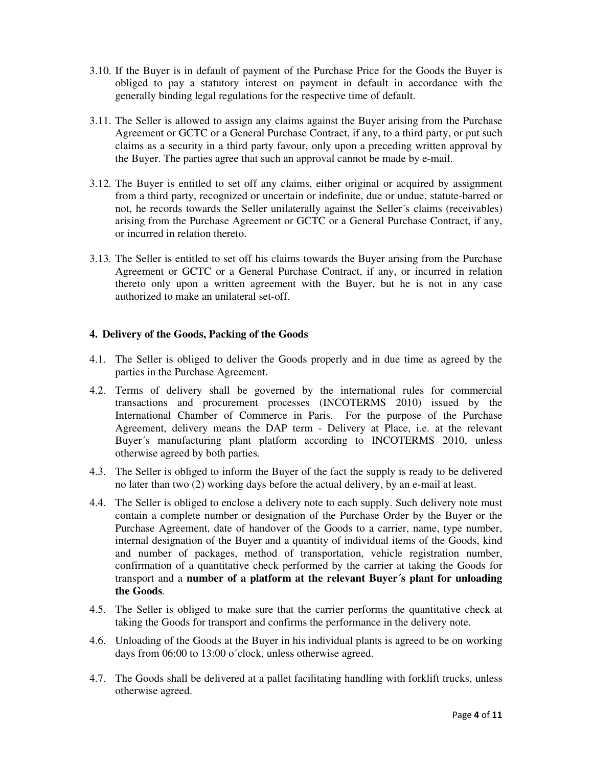- 3.10. If the Buyer is in default of payment of the Purchase Price for the Goods the Buyer is obliged to pay a statutory interest on payment in default in accordance with the generally binding legal regulations for the respective time of default.
- 3.11. The Seller is allowed to assign any claims against the Buyer arising from the Purchase Agreement or GCTC or a General Purchase Contract, if any, to a third party, or put such claims as a security in a third party favour, only upon a preceding written approval by the Buyer. The parties agree that such an approval cannot be made by e-mail.
- 3.12. The Buyer is entitled to set off any claims, either original or acquired by assignment from a third party, recognized or uncertain or indefinite, due or undue, statute-barred or not, he records towards the Seller unilaterally against the Seller´s claims (receivables) arising from the Purchase Agreement or GCTC or a General Purchase Contract, if any, or incurred in relation thereto.
- 3.13. The Seller is entitled to set off his claims towards the Buyer arising from the Purchase Agreement or GCTC or a General Purchase Contract, if any, or incurred in relation thereto only upon a written agreement with the Buyer, but he is not in any case authorized to make an unilateral set-off.

# **4. Delivery of the Goods, Packing of the Goods**

- 4.1. The Seller is obliged to deliver the Goods properly and in due time as agreed by the parties in the Purchase Agreement.
- 4.2. Terms of delivery shall be governed by the international rules for commercial transactions and procurement processes (INCOTERMS 2010) issued by the International Chamber of Commerce in Paris. For the purpose of the Purchase Agreement, delivery means the DAP term - Delivery at Place, i.e. at the relevant Buyer´s manufacturing plant platform according to INCOTERMS 2010, unless otherwise agreed by both parties.
- 4.3. The Seller is obliged to inform the Buyer of the fact the supply is ready to be delivered no later than two (2) working days before the actual delivery, by an e-mail at least.
- 4.4. The Seller is obliged to enclose a delivery note to each supply. Such delivery note must contain a complete number or designation of the Purchase Order by the Buyer or the Purchase Agreement, date of handover of the Goods to a carrier, name, type number, internal designation of the Buyer and a quantity of individual items of the Goods, kind and number of packages, method of transportation, vehicle registration number, confirmation of a quantitative check performed by the carrier at taking the Goods for transport and a **number of a platform at the relevant Buyer´s plant for unloading the Goods**.
- 4.5. The Seller is obliged to make sure that the carrier performs the quantitative check at taking the Goods for transport and confirms the performance in the delivery note.
- 4.6. Unloading of the Goods at the Buyer in his individual plants is agreed to be on working days from 06:00 to 13:00 o´clock, unless otherwise agreed.
- 4.7. The Goods shall be delivered at a pallet facilitating handling with forklift trucks, unless otherwise agreed.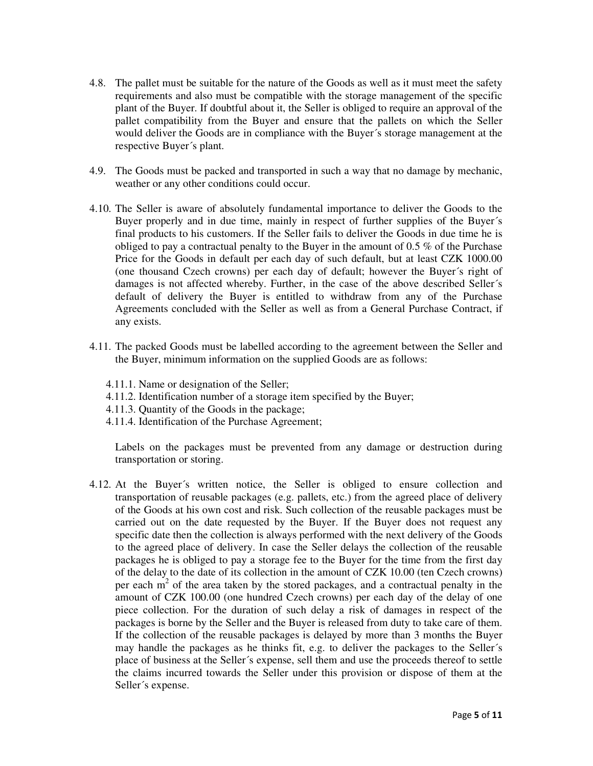- 4.8. The pallet must be suitable for the nature of the Goods as well as it must meet the safety requirements and also must be compatible with the storage management of the specific plant of the Buyer. If doubtful about it, the Seller is obliged to require an approval of the pallet compatibility from the Buyer and ensure that the pallets on which the Seller would deliver the Goods are in compliance with the Buyer´s storage management at the respective Buyer´s plant.
- 4.9. The Goods must be packed and transported in such a way that no damage by mechanic, weather or any other conditions could occur.
- 4.10. The Seller is aware of absolutely fundamental importance to deliver the Goods to the Buyer properly and in due time, mainly in respect of further supplies of the Buyer´s final products to his customers. If the Seller fails to deliver the Goods in due time he is obliged to pay a contractual penalty to the Buyer in the amount of  $0.5\%$  of the Purchase Price for the Goods in default per each day of such default, but at least CZK 1000.00 (one thousand Czech crowns) per each day of default; however the Buyer´s right of damages is not affected whereby. Further, in the case of the above described Seller´s default of delivery the Buyer is entitled to withdraw from any of the Purchase Agreements concluded with the Seller as well as from a General Purchase Contract, if any exists.
- 4.11. The packed Goods must be labelled according to the agreement between the Seller and the Buyer, minimum information on the supplied Goods are as follows:
	- 4.11.1. Name or designation of the Seller;
	- 4.11.2. Identification number of a storage item specified by the Buyer;
	- 4.11.3. Quantity of the Goods in the package;
	- 4.11.4. Identification of the Purchase Agreement;

Labels on the packages must be prevented from any damage or destruction during transportation or storing.

4.12. At the Buyer´s written notice, the Seller is obliged to ensure collection and transportation of reusable packages (e.g. pallets, etc.) from the agreed place of delivery of the Goods at his own cost and risk. Such collection of the reusable packages must be carried out on the date requested by the Buyer. If the Buyer does not request any specific date then the collection is always performed with the next delivery of the Goods to the agreed place of delivery. In case the Seller delays the collection of the reusable packages he is obliged to pay a storage fee to the Buyer for the time from the first day of the delay to the date of its collection in the amount of CZK 10.00 (ten Czech crowns) per each  $m<sup>2</sup>$  of the area taken by the stored packages, and a contractual penalty in the amount of CZK 100.00 (one hundred Czech crowns) per each day of the delay of one piece collection. For the duration of such delay a risk of damages in respect of the packages is borne by the Seller and the Buyer is released from duty to take care of them. If the collection of the reusable packages is delayed by more than 3 months the Buyer may handle the packages as he thinks fit, e.g. to deliver the packages to the Seller´s place of business at the Seller´s expense, sell them and use the proceeds thereof to settle the claims incurred towards the Seller under this provision or dispose of them at the Seller´s expense.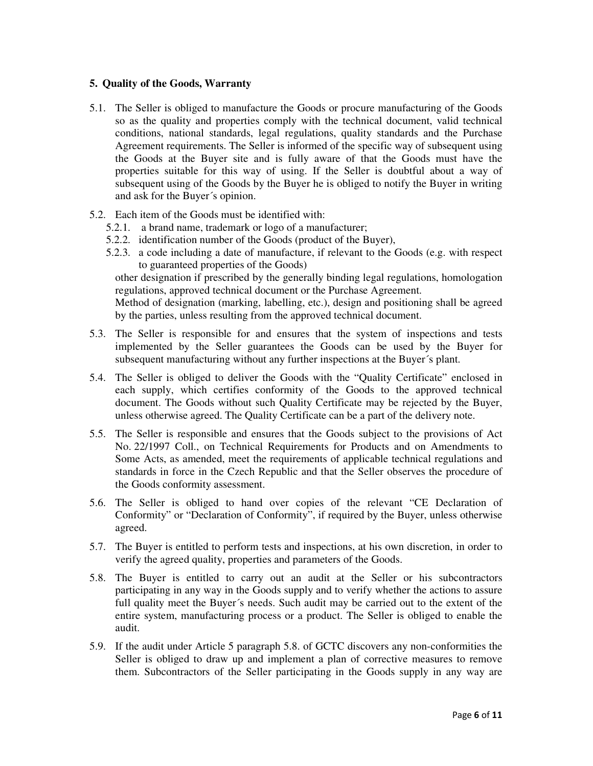# **5. Quality of the Goods, Warranty**

- 5.1. The Seller is obliged to manufacture the Goods or procure manufacturing of the Goods so as the quality and properties comply with the technical document, valid technical conditions, national standards, legal regulations, quality standards and the Purchase Agreement requirements. The Seller is informed of the specific way of subsequent using the Goods at the Buyer site and is fully aware of that the Goods must have the properties suitable for this way of using. If the Seller is doubtful about a way of subsequent using of the Goods by the Buyer he is obliged to notify the Buyer in writing and ask for the Buyer´s opinion.
- 5.2. Each item of the Goods must be identified with:
	- 5.2.1. a brand name, trademark or logo of a manufacturer;
	- 5.2.2. identification number of the Goods (product of the Buyer),
	- 5.2.3. a code including a date of manufacture, if relevant to the Goods (e.g. with respect to guaranteed properties of the Goods)

other designation if prescribed by the generally binding legal regulations, homologation regulations, approved technical document or the Purchase Agreement.

Method of designation (marking, labelling, etc.), design and positioning shall be agreed by the parties, unless resulting from the approved technical document.

- 5.3. The Seller is responsible for and ensures that the system of inspections and tests implemented by the Seller guarantees the Goods can be used by the Buyer for subsequent manufacturing without any further inspections at the Buyer´s plant.
- 5.4. The Seller is obliged to deliver the Goods with the "Quality Certificate" enclosed in each supply, which certifies conformity of the Goods to the approved technical document. The Goods without such Quality Certificate may be rejected by the Buyer, unless otherwise agreed. The Quality Certificate can be a part of the delivery note.
- 5.5. The Seller is responsible and ensures that the Goods subject to the provisions of Act No. 22/1997 Coll., on Technical Requirements for Products and on Amendments to Some Acts, as amended, meet the requirements of applicable technical regulations and standards in force in the Czech Republic and that the Seller observes the procedure of the Goods conformity assessment.
- 5.6. The Seller is obliged to hand over copies of the relevant "CE Declaration of Conformity" or "Declaration of Conformity", if required by the Buyer, unless otherwise agreed.
- 5.7. The Buyer is entitled to perform tests and inspections, at his own discretion, in order to verify the agreed quality, properties and parameters of the Goods.
- 5.8. The Buyer is entitled to carry out an audit at the Seller or his subcontractors participating in any way in the Goods supply and to verify whether the actions to assure full quality meet the Buyer´s needs. Such audit may be carried out to the extent of the entire system, manufacturing process or a product. The Seller is obliged to enable the audit.
- 5.9. If the audit under Article 5 paragraph 5.8. of GCTC discovers any non-conformities the Seller is obliged to draw up and implement a plan of corrective measures to remove them. Subcontractors of the Seller participating in the Goods supply in any way are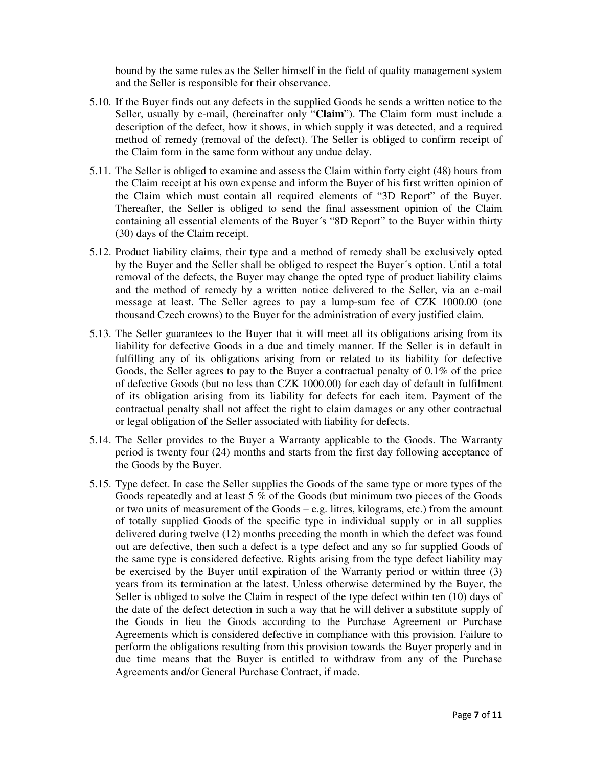bound by the same rules as the Seller himself in the field of quality management system and the Seller is responsible for their observance.

- 5.10. If the Buyer finds out any defects in the supplied Goods he sends a written notice to the Seller, usually by e-mail, (hereinafter only "**Claim**"). The Claim form must include a description of the defect, how it shows, in which supply it was detected, and a required method of remedy (removal of the defect). The Seller is obliged to confirm receipt of the Claim form in the same form without any undue delay.
- 5.11. The Seller is obliged to examine and assess the Claim within forty eight (48) hours from the Claim receipt at his own expense and inform the Buyer of his first written opinion of the Claim which must contain all required elements of "3D Report" of the Buyer. Thereafter, the Seller is obliged to send the final assessment opinion of the Claim containing all essential elements of the Buyer´s "8D Report" to the Buyer within thirty (30) days of the Claim receipt.
- 5.12. Product liability claims, their type and a method of remedy shall be exclusively opted by the Buyer and the Seller shall be obliged to respect the Buyer´s option. Until a total removal of the defects, the Buyer may change the opted type of product liability claims and the method of remedy by a written notice delivered to the Seller, via an e-mail message at least. The Seller agrees to pay a lump-sum fee of CZK 1000.00 (one thousand Czech crowns) to the Buyer for the administration of every justified claim.
- 5.13. The Seller guarantees to the Buyer that it will meet all its obligations arising from its liability for defective Goods in a due and timely manner. If the Seller is in default in fulfilling any of its obligations arising from or related to its liability for defective Goods, the Seller agrees to pay to the Buyer a contractual penalty of 0.1% of the price of defective Goods (but no less than CZK 1000.00) for each day of default in fulfilment of its obligation arising from its liability for defects for each item. Payment of the contractual penalty shall not affect the right to claim damages or any other contractual or legal obligation of the Seller associated with liability for defects.
- 5.14. The Seller provides to the Buyer a Warranty applicable to the Goods. The Warranty period is twenty four (24) months and starts from the first day following acceptance of the Goods by the Buyer.
- 5.15. Type defect. In case the Seller supplies the Goods of the same type or more types of the Goods repeatedly and at least 5 % of the Goods (but minimum two pieces of the Goods or two units of measurement of the Goods – e.g. litres, kilograms, etc.) from the amount of totally supplied Goods of the specific type in individual supply or in all supplies delivered during twelve (12) months preceding the month in which the defect was found out are defective, then such a defect is a type defect and any so far supplied Goods of the same type is considered defective. Rights arising from the type defect liability may be exercised by the Buyer until expiration of the Warranty period or within three (3) years from its termination at the latest. Unless otherwise determined by the Buyer, the Seller is obliged to solve the Claim in respect of the type defect within ten (10) days of the date of the defect detection in such a way that he will deliver a substitute supply of the Goods in lieu the Goods according to the Purchase Agreement or Purchase Agreements which is considered defective in compliance with this provision. Failure to perform the obligations resulting from this provision towards the Buyer properly and in due time means that the Buyer is entitled to withdraw from any of the Purchase Agreements and/or General Purchase Contract, if made.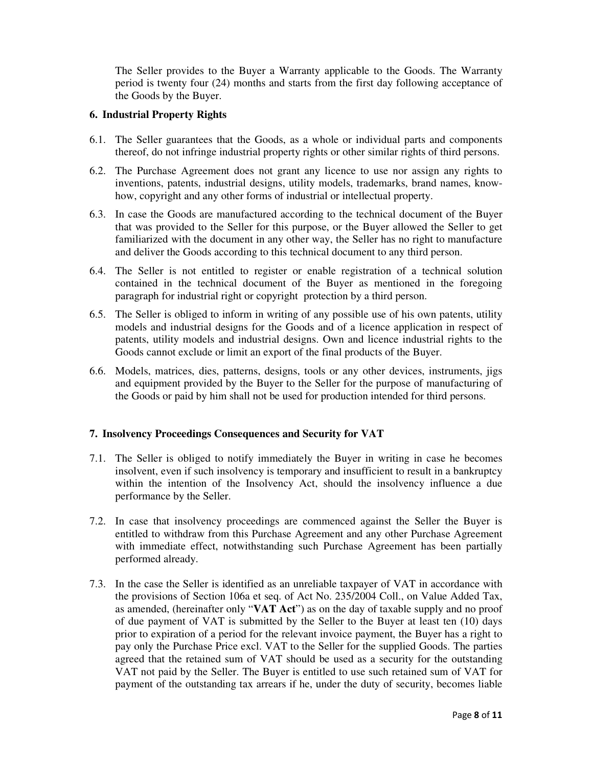The Seller provides to the Buyer a Warranty applicable to the Goods. The Warranty period is twenty four (24) months and starts from the first day following acceptance of the Goods by the Buyer.

## **6. Industrial Property Rights**

- 6.1. The Seller guarantees that the Goods, as a whole or individual parts and components thereof, do not infringe industrial property rights or other similar rights of third persons.
- 6.2. The Purchase Agreement does not grant any licence to use nor assign any rights to inventions, patents, industrial designs, utility models, trademarks, brand names, knowhow, copyright and any other forms of industrial or intellectual property.
- 6.3. In case the Goods are manufactured according to the technical document of the Buyer that was provided to the Seller for this purpose, or the Buyer allowed the Seller to get familiarized with the document in any other way, the Seller has no right to manufacture and deliver the Goods according to this technical document to any third person.
- 6.4. The Seller is not entitled to register or enable registration of a technical solution contained in the technical document of the Buyer as mentioned in the foregoing paragraph for industrial right or copyright protection by a third person.
- 6.5. The Seller is obliged to inform in writing of any possible use of his own patents, utility models and industrial designs for the Goods and of a licence application in respect of patents, utility models and industrial designs. Own and licence industrial rights to the Goods cannot exclude or limit an export of the final products of the Buyer.
- 6.6. Models, matrices, dies, patterns, designs, tools or any other devices, instruments, jigs and equipment provided by the Buyer to the Seller for the purpose of manufacturing of the Goods or paid by him shall not be used for production intended for third persons.

# **7. Insolvency Proceedings Consequences and Security for VAT**

- 7.1. The Seller is obliged to notify immediately the Buyer in writing in case he becomes insolvent, even if such insolvency is temporary and insufficient to result in a bankruptcy within the intention of the Insolvency Act, should the insolvency influence a due performance by the Seller.
- 7.2. In case that insolvency proceedings are commenced against the Seller the Buyer is entitled to withdraw from this Purchase Agreement and any other Purchase Agreement with immediate effect, notwithstanding such Purchase Agreement has been partially performed already.
- 7.3. In the case the Seller is identified as an unreliable taxpayer of VAT in accordance with the provisions of Section 106a et seq. of Act No. 235/2004 Coll., on Value Added Tax, as amended, (hereinafter only "**VAT Act**") as on the day of taxable supply and no proof of due payment of VAT is submitted by the Seller to the Buyer at least ten (10) days prior to expiration of a period for the relevant invoice payment, the Buyer has a right to pay only the Purchase Price excl. VAT to the Seller for the supplied Goods. The parties agreed that the retained sum of VAT should be used as a security for the outstanding VAT not paid by the Seller. The Buyer is entitled to use such retained sum of VAT for payment of the outstanding tax arrears if he, under the duty of security, becomes liable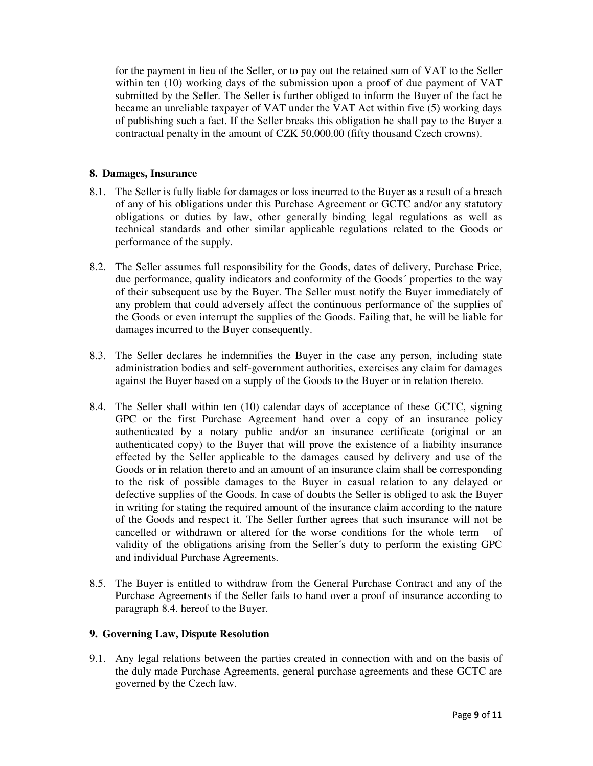for the payment in lieu of the Seller, or to pay out the retained sum of VAT to the Seller within ten (10) working days of the submission upon a proof of due payment of VAT submitted by the Seller. The Seller is further obliged to inform the Buyer of the fact he became an unreliable taxpayer of VAT under the VAT Act within five (5) working days of publishing such a fact. If the Seller breaks this obligation he shall pay to the Buyer a contractual penalty in the amount of CZK 50,000.00 (fifty thousand Czech crowns).

# **8. Damages, Insurance**

- 8.1. The Seller is fully liable for damages or loss incurred to the Buyer as a result of a breach of any of his obligations under this Purchase Agreement or GCTC and/or any statutory obligations or duties by law, other generally binding legal regulations as well as technical standards and other similar applicable regulations related to the Goods or performance of the supply.
- 8.2. The Seller assumes full responsibility for the Goods, dates of delivery, Purchase Price, due performance, quality indicators and conformity of the Goods´ properties to the way of their subsequent use by the Buyer. The Seller must notify the Buyer immediately of any problem that could adversely affect the continuous performance of the supplies of the Goods or even interrupt the supplies of the Goods. Failing that, he will be liable for damages incurred to the Buyer consequently.
- 8.3. The Seller declares he indemnifies the Buyer in the case any person, including state administration bodies and self-government authorities, exercises any claim for damages against the Buyer based on a supply of the Goods to the Buyer or in relation thereto.
- 8.4. The Seller shall within ten (10) calendar days of acceptance of these GCTC, signing GPC or the first Purchase Agreement hand over a copy of an insurance policy authenticated by a notary public and/or an insurance certificate (original or an authenticated copy) to the Buyer that will prove the existence of a liability insurance effected by the Seller applicable to the damages caused by delivery and use of the Goods or in relation thereto and an amount of an insurance claim shall be corresponding to the risk of possible damages to the Buyer in casual relation to any delayed or defective supplies of the Goods. In case of doubts the Seller is obliged to ask the Buyer in writing for stating the required amount of the insurance claim according to the nature of the Goods and respect it. The Seller further agrees that such insurance will not be cancelled or withdrawn or altered for the worse conditions for the whole term of validity of the obligations arising from the Seller´s duty to perform the existing GPC and individual Purchase Agreements.
- 8.5. The Buyer is entitled to withdraw from the General Purchase Contract and any of the Purchase Agreements if the Seller fails to hand over a proof of insurance according to paragraph 8.4. hereof to the Buyer.

#### **9. Governing Law, Dispute Resolution**

9.1. Any legal relations between the parties created in connection with and on the basis of the duly made Purchase Agreements, general purchase agreements and these GCTC are governed by the Czech law.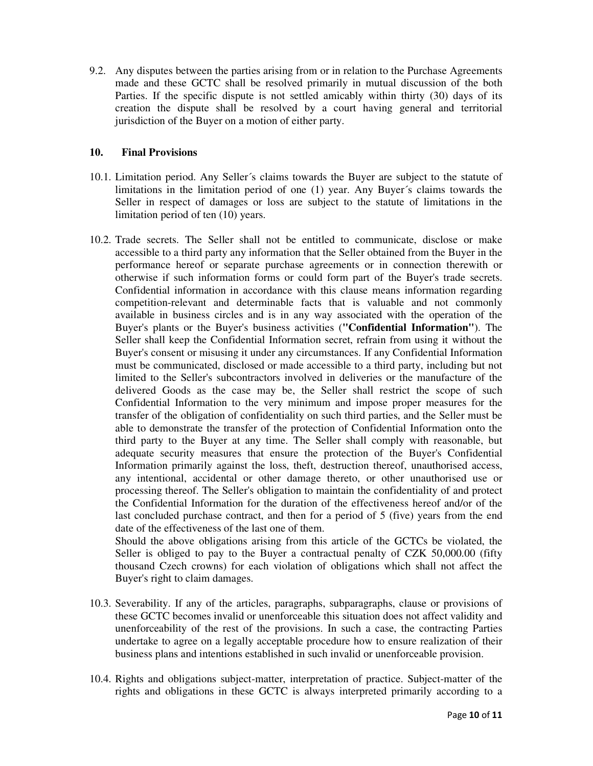9.2. Any disputes between the parties arising from or in relation to the Purchase Agreements made and these GCTC shall be resolved primarily in mutual discussion of the both Parties. If the specific dispute is not settled amicably within thirty (30) days of its creation the dispute shall be resolved by a court having general and territorial jurisdiction of the Buyer on a motion of either party.

## **10. Final Provisions**

- 10.1. Limitation period. Any Seller´s claims towards the Buyer are subject to the statute of limitations in the limitation period of one (1) year. Any Buyer´s claims towards the Seller in respect of damages or loss are subject to the statute of limitations in the limitation period of ten (10) years.
- 10.2. Trade secrets. The Seller shall not be entitled to communicate, disclose or make accessible to a third party any information that the Seller obtained from the Buyer in the performance hereof or separate purchase agreements or in connection therewith or otherwise if such information forms or could form part of the Buyer's trade secrets. Confidential information in accordance with this clause means information regarding competition-relevant and determinable facts that is valuable and not commonly available in business circles and is in any way associated with the operation of the Buyer's plants or the Buyer's business activities (**"Confidential Information"**). The Seller shall keep the Confidential Information secret, refrain from using it without the Buyer's consent or misusing it under any circumstances. If any Confidential Information must be communicated, disclosed or made accessible to a third party, including but not limited to the Seller's subcontractors involved in deliveries or the manufacture of the delivered Goods as the case may be, the Seller shall restrict the scope of such Confidential Information to the very minimum and impose proper measures for the transfer of the obligation of confidentiality on such third parties, and the Seller must be able to demonstrate the transfer of the protection of Confidential Information onto the third party to the Buyer at any time. The Seller shall comply with reasonable, but adequate security measures that ensure the protection of the Buyer's Confidential Information primarily against the loss, theft, destruction thereof, unauthorised access, any intentional, accidental or other damage thereto, or other unauthorised use or processing thereof. The Seller's obligation to maintain the confidentiality of and protect the Confidential Information for the duration of the effectiveness hereof and/or of the last concluded purchase contract, and then for a period of 5 (five) years from the end date of the effectiveness of the last one of them.

Should the above obligations arising from this article of the GCTCs be violated, the Seller is obliged to pay to the Buyer a contractual penalty of CZK 50,000.00 (fifty thousand Czech crowns) for each violation of obligations which shall not affect the Buyer's right to claim damages.

- 10.3. Severability. If any of the articles, paragraphs, subparagraphs, clause or provisions of these GCTC becomes invalid or unenforceable this situation does not affect validity and unenforceability of the rest of the provisions. In such a case, the contracting Parties undertake to agree on a legally acceptable procedure how to ensure realization of their business plans and intentions established in such invalid or unenforceable provision.
- 10.4. Rights and obligations subject-matter, interpretation of practice. Subject-matter of the rights and obligations in these GCTC is always interpreted primarily according to a